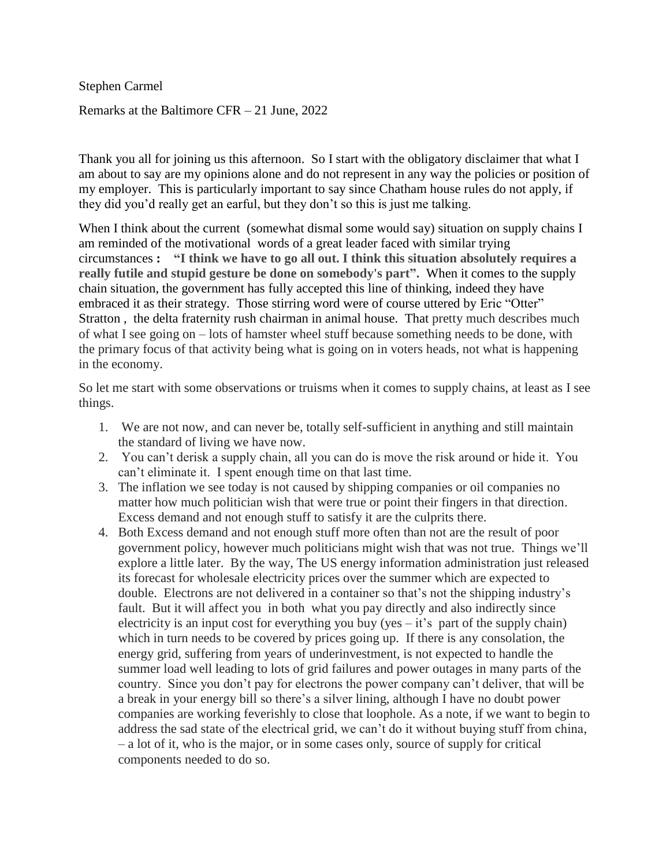Stephen Carmel

Remarks at the Baltimore CFR – 21 June, 2022

Thank you all for joining us this afternoon. So I start with the obligatory disclaimer that what I am about to say are my opinions alone and do not represent in any way the policies or position of my employer. This is particularly important to say since Chatham house rules do not apply, if they did you'd really get an earful, but they don't so this is just me talking.

When I think about the current (somewhat dismal some would say) situation on supply chains I am reminded of the motivational words of a great leader faced with similar trying circumstances **: "I think we have to go all out. I think this situation absolutely requires a really futile and stupid gesture be done on somebody's part".** When it comes to the supply chain situation, the government has fully accepted this line of thinking, indeed they have embraced it as their strategy. Those stirring word were of course uttered by Eric "Otter" Stratton , the delta fraternity rush chairman in animal house. That pretty much describes much of what I see going on – lots of hamster wheel stuff because something needs to be done, with the primary focus of that activity being what is going on in voters heads, not what is happening in the economy.

So let me start with some observations or truisms when it comes to supply chains, at least as I see things.

- 1. We are not now, and can never be, totally self-sufficient in anything and still maintain the standard of living we have now.
- 2. You can't derisk a supply chain, all you can do is move the risk around or hide it. You can't eliminate it. I spent enough time on that last time.
- 3. The inflation we see today is not caused by shipping companies or oil companies no matter how much politician wish that were true or point their fingers in that direction. Excess demand and not enough stuff to satisfy it are the culprits there.
- 4. Both Excess demand and not enough stuff more often than not are the result of poor government policy, however much politicians might wish that was not true. Things we'll explore a little later. By the way, The US energy information administration just released its forecast for wholesale electricity prices over the summer which are expected to double. Electrons are not delivered in a container so that's not the shipping industry's fault. But it will affect you in both what you pay directly and also indirectly since electricity is an input cost for everything you buy (yes  $-$  it's part of the supply chain) which in turn needs to be covered by prices going up. If there is any consolation, the energy grid, suffering from years of underinvestment, is not expected to handle the summer load well leading to lots of grid failures and power outages in many parts of the country. Since you don't pay for electrons the power company can't deliver, that will be a break in your energy bill so there's a silver lining, although I have no doubt power companies are working feverishly to close that loophole. As a note, if we want to begin to address the sad state of the electrical grid, we can't do it without buying stuff from china, – a lot of it, who is the major, or in some cases only, source of supply for critical components needed to do so.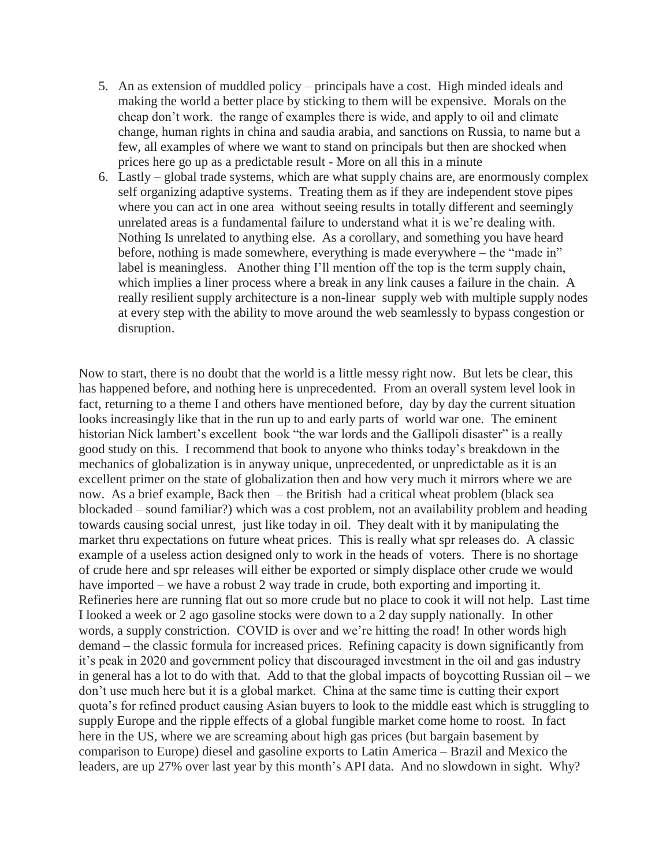- 5. An as extension of muddled policy principals have a cost. High minded ideals and making the world a better place by sticking to them will be expensive. Morals on the cheap don't work. the range of examples there is wide, and apply to oil and climate change, human rights in china and saudia arabia, and sanctions on Russia, to name but a few, all examples of where we want to stand on principals but then are shocked when prices here go up as a predictable result - More on all this in a minute
- 6. Lastly global trade systems, which are what supply chains are, are enormously complex self organizing adaptive systems. Treating them as if they are independent stove pipes where you can act in one area without seeing results in totally different and seemingly unrelated areas is a fundamental failure to understand what it is we're dealing with. Nothing Is unrelated to anything else. As a corollary, and something you have heard before, nothing is made somewhere, everything is made everywhere – the "made in" label is meaningless. Another thing I'll mention off the top is the term supply chain, which implies a liner process where a break in any link causes a failure in the chain. A really resilient supply architecture is a non-linear supply web with multiple supply nodes at every step with the ability to move around the web seamlessly to bypass congestion or disruption.

Now to start, there is no doubt that the world is a little messy right now. But lets be clear, this has happened before, and nothing here is unprecedented. From an overall system level look in fact, returning to a theme I and others have mentioned before, day by day the current situation looks increasingly like that in the run up to and early parts of world war one. The eminent historian Nick lambert's excellent book "the war lords and the Gallipoli disaster" is a really good study on this. I recommend that book to anyone who thinks today's breakdown in the mechanics of globalization is in anyway unique, unprecedented, or unpredictable as it is an excellent primer on the state of globalization then and how very much it mirrors where we are now. As a brief example, Back then – the British had a critical wheat problem (black sea blockaded – sound familiar?) which was a cost problem, not an availability problem and heading towards causing social unrest, just like today in oil. They dealt with it by manipulating the market thru expectations on future wheat prices. This is really what spr releases do. A classic example of a useless action designed only to work in the heads of voters. There is no shortage of crude here and spr releases will either be exported or simply displace other crude we would have imported – we have a robust 2 way trade in crude, both exporting and importing it. Refineries here are running flat out so more crude but no place to cook it will not help. Last time I looked a week or 2 ago gasoline stocks were down to a 2 day supply nationally. In other words, a supply constriction. COVID is over and we're hitting the road! In other words high demand – the classic formula for increased prices. Refining capacity is down significantly from it's peak in 2020 and government policy that discouraged investment in the oil and gas industry in general has a lot to do with that. Add to that the global impacts of boycotting Russian oil – we don't use much here but it is a global market. China at the same time is cutting their export quota's for refined product causing Asian buyers to look to the middle east which is struggling to supply Europe and the ripple effects of a global fungible market come home to roost. In fact here in the US, where we are screaming about high gas prices (but bargain basement by comparison to Europe) diesel and gasoline exports to Latin America – Brazil and Mexico the leaders, are up 27% over last year by this month's API data. And no slowdown in sight. Why?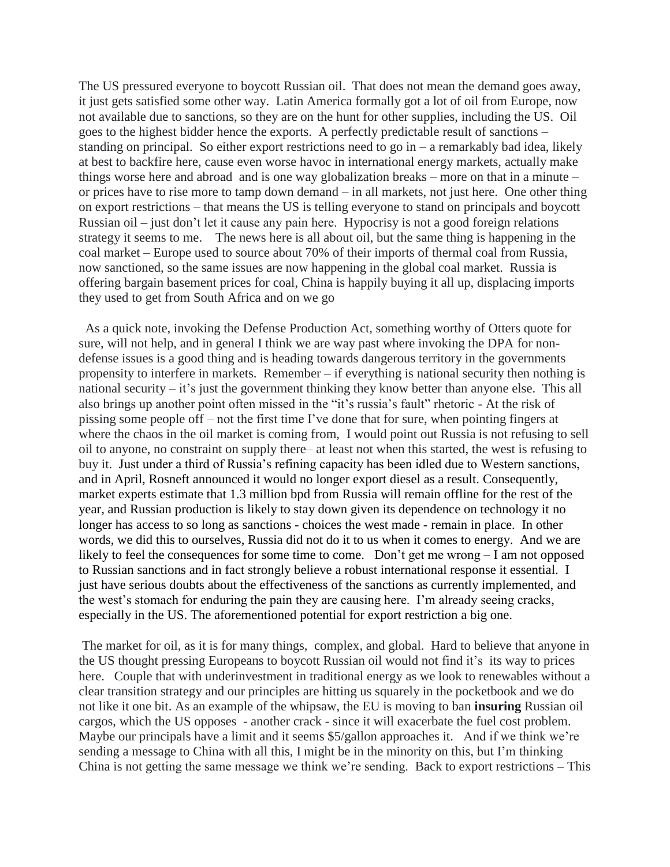The US pressured everyone to boycott Russian oil. That does not mean the demand goes away, it just gets satisfied some other way. Latin America formally got a lot of oil from Europe, now not available due to sanctions, so they are on the hunt for other supplies, including the US. Oil goes to the highest bidder hence the exports. A perfectly predictable result of sanctions – standing on principal. So either export restrictions need to go in  $-$  a remarkably bad idea, likely at best to backfire here, cause even worse havoc in international energy markets, actually make things worse here and abroad and is one way globalization breaks – more on that in a minute – or prices have to rise more to tamp down demand – in all markets, not just here. One other thing on export restrictions – that means the US is telling everyone to stand on principals and boycott Russian oil – just don't let it cause any pain here. Hypocrisy is not a good foreign relations strategy it seems to me. The news here is all about oil, but the same thing is happening in the coal market – Europe used to source about 70% of their imports of thermal coal from Russia, now sanctioned, so the same issues are now happening in the global coal market. Russia is offering bargain basement prices for coal, China is happily buying it all up, displacing imports they used to get from South Africa and on we go

 As a quick note, invoking the Defense Production Act, something worthy of Otters quote for sure, will not help, and in general I think we are way past where invoking the DPA for nondefense issues is a good thing and is heading towards dangerous territory in the governments propensity to interfere in markets. Remember – if everything is national security then nothing is national security – it's just the government thinking they know better than anyone else. This all also brings up another point often missed in the "it's russia's fault" rhetoric - At the risk of pissing some people off – not the first time I've done that for sure, when pointing fingers at where the chaos in the oil market is coming from, I would point out Russia is not refusing to sell oil to anyone, no constraint on supply there– at least not when this started, the west is refusing to buy it. Just under a third of Russia's refining capacity has been idled due to Western sanctions, and in April, Rosneft announced it would no longer export diesel as a result. Consequently, market experts estimate that 1.3 million bpd from Russia will remain offline for the rest of the year, and Russian production is likely to stay down given its dependence on technology it no longer has access to so long as sanctions - choices the west made - remain in place. In other words, we did this to ourselves, Russia did not do it to us when it comes to energy. And we are likely to feel the consequences for some time to come. Don't get me wrong – I am not opposed to Russian sanctions and in fact strongly believe a robust international response it essential. I just have serious doubts about the effectiveness of the sanctions as currently implemented, and the west's stomach for enduring the pain they are causing here. I'm already seeing cracks, especially in the US. The aforementioned potential for export restriction a big one.

The market for oil, as it is for many things, complex, and global. Hard to believe that anyone in the US thought pressing Europeans to boycott Russian oil would not find it's its way to prices here. Couple that with underinvestment in traditional energy as we look to renewables without a clear transition strategy and our principles are hitting us squarely in the pocketbook and we do not like it one bit. As an example of the whipsaw, the EU is moving to ban **insuring** Russian oil cargos, which the US opposes - another crack - since it will exacerbate the fuel cost problem. Maybe our principals have a limit and it seems \$5/gallon approaches it. And if we think we're sending a message to China with all this, I might be in the minority on this, but I'm thinking China is not getting the same message we think we're sending. Back to export restrictions – This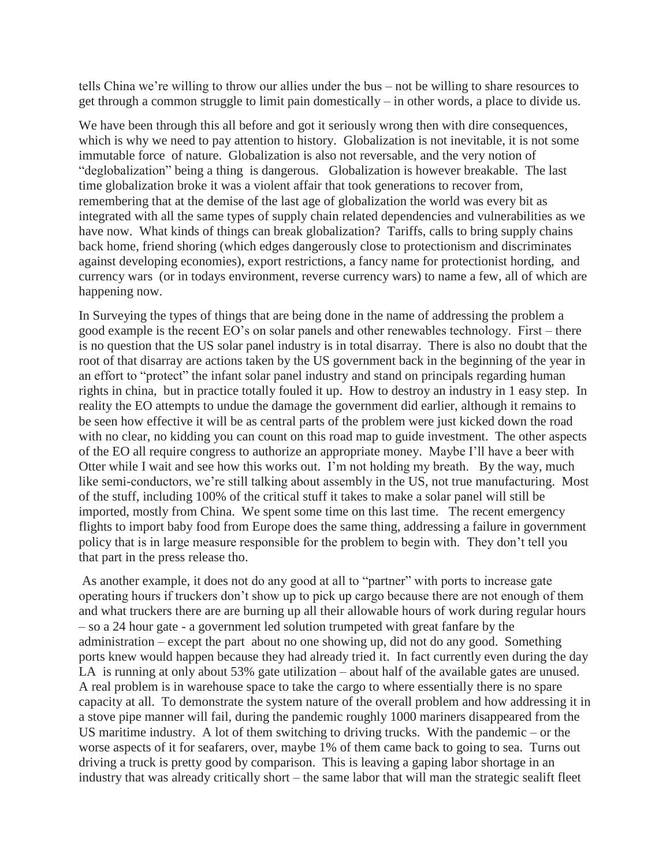tells China we're willing to throw our allies under the bus – not be willing to share resources to get through a common struggle to limit pain domestically – in other words, a place to divide us.

We have been through this all before and got it seriously wrong then with dire consequences, which is why we need to pay attention to history. Globalization is not inevitable, it is not some immutable force of nature. Globalization is also not reversable, and the very notion of "deglobalization" being a thing is dangerous. Globalization is however breakable. The last time globalization broke it was a violent affair that took generations to recover from, remembering that at the demise of the last age of globalization the world was every bit as integrated with all the same types of supply chain related dependencies and vulnerabilities as we have now. What kinds of things can break globalization? Tariffs, calls to bring supply chains back home, friend shoring (which edges dangerously close to protectionism and discriminates against developing economies), export restrictions, a fancy name for protectionist hording, and currency wars (or in todays environment, reverse currency wars) to name a few, all of which are happening now.

In Surveying the types of things that are being done in the name of addressing the problem a good example is the recent EO's on solar panels and other renewables technology. First – there is no question that the US solar panel industry is in total disarray. There is also no doubt that the root of that disarray are actions taken by the US government back in the beginning of the year in an effort to "protect" the infant solar panel industry and stand on principals regarding human rights in china, but in practice totally fouled it up. How to destroy an industry in 1 easy step. In reality the EO attempts to undue the damage the government did earlier, although it remains to be seen how effective it will be as central parts of the problem were just kicked down the road with no clear, no kidding you can count on this road map to guide investment. The other aspects of the EO all require congress to authorize an appropriate money. Maybe I'll have a beer with Otter while I wait and see how this works out. I'm not holding my breath. By the way, much like semi-conductors, we're still talking about assembly in the US, not true manufacturing. Most of the stuff, including 100% of the critical stuff it takes to make a solar panel will still be imported, mostly from China. We spent some time on this last time. The recent emergency flights to import baby food from Europe does the same thing, addressing a failure in government policy that is in large measure responsible for the problem to begin with. They don't tell you that part in the press release tho.

As another example, it does not do any good at all to "partner" with ports to increase gate operating hours if truckers don't show up to pick up cargo because there are not enough of them and what truckers there are are burning up all their allowable hours of work during regular hours – so a 24 hour gate - a government led solution trumpeted with great fanfare by the administration – except the part about no one showing up, did not do any good. Something ports knew would happen because they had already tried it. In fact currently even during the day LA is running at only about 53% gate utilization – about half of the available gates are unused. A real problem is in warehouse space to take the cargo to where essentially there is no spare capacity at all. To demonstrate the system nature of the overall problem and how addressing it in a stove pipe manner will fail, during the pandemic roughly 1000 mariners disappeared from the US maritime industry. A lot of them switching to driving trucks. With the pandemic – or the worse aspects of it for seafarers, over, maybe 1% of them came back to going to sea. Turns out driving a truck is pretty good by comparison. This is leaving a gaping labor shortage in an industry that was already critically short – the same labor that will man the strategic sealift fleet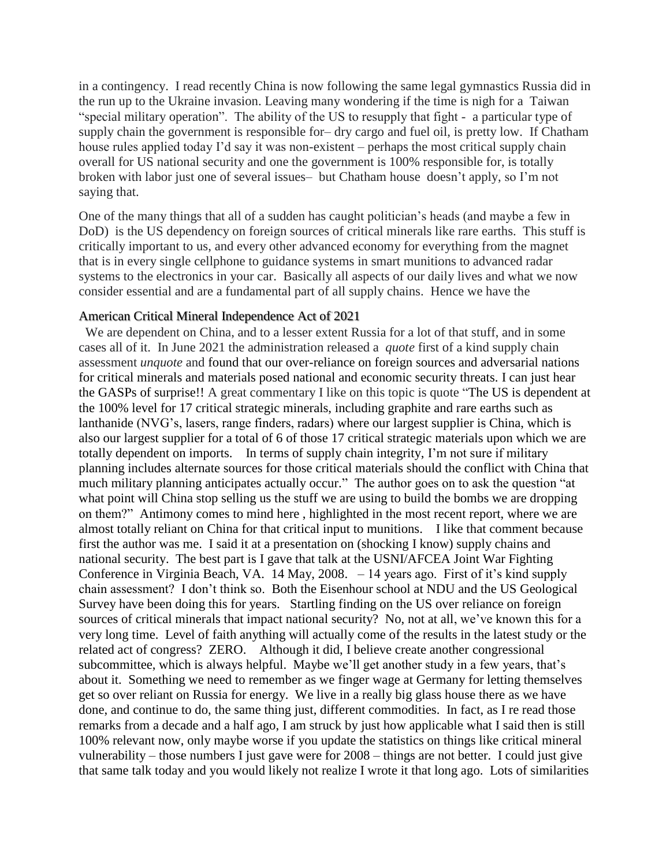in a contingency. I read recently China is now following the same legal gymnastics Russia did in the run up to the Ukraine invasion. Leaving many wondering if the time is nigh for a Taiwan "special military operation". The ability of the US to resupply that fight - a particular type of supply chain the government is responsible for– dry cargo and fuel oil, is pretty low. If Chatham house rules applied today I'd say it was non-existent – perhaps the most critical supply chain overall for US national security and one the government is 100% responsible for, is totally broken with labor just one of several issues– but Chatham house doesn't apply, so I'm not saying that.

One of the many things that all of a sudden has caught politician's heads (and maybe a few in DoD) is the US dependency on foreign sources of critical minerals like rare earths. This stuff is critically important to us, and every other advanced economy for everything from the magnet that is in every single cellphone to guidance systems in smart munitions to advanced radar systems to the electronics in your car. Basically all aspects of our daily lives and what we now consider essential and are a fundamental part of all supply chains. Hence we have the

## [American Critical Mineral Independence Act of 2021](https://www.congress.gov/bill/117th-congress/house-bill/2637/text#:~:text=Introduced%20in%20House%20(04%2F16%2F2021)&text=To%20promote%20the%20domestic%20exploration,States%2C%20and%20for%20other%20purposes.)

 We are dependent on China, and to a lesser extent Russia for a lot of that stuff, and in some cases all of it. In June 2021 the administration released a *quote* first of a kind supply chain assessment *unquote* and found that our over-reliance on foreign sources and adversarial nations for critical minerals and materials posed national and economic security threats. I can just hear the GASPs of surprise!! A great commentary I like on this topic is quote "The US is dependent at the 100% level for 17 critical strategic minerals, including graphite and rare earths such as lanthanide (NVG's, lasers, range finders, radars) where our largest supplier is China, which is also our largest supplier for a total of 6 of those 17 critical strategic materials upon which we are totally dependent on imports. In terms of supply chain integrity, I'm not sure if military planning includes alternate sources for those critical materials should the conflict with China that much military planning anticipates actually occur." The author goes on to ask the question "at what point will China stop selling us the stuff we are using to build the bombs we are dropping on them?" Antimony comes to mind here , highlighted in the most recent report, where we are almost totally reliant on China for that critical input to munitions. I like that comment because first the author was me. I said it at a presentation on (shocking I know) supply chains and national security. The best part is I gave that talk at the USNI/AFCEA Joint War Fighting Conference in Virginia Beach, VA. 14 May, 2008. – 14 years ago. First of it's kind supply chain assessment? I don't think so. Both the Eisenhour school at NDU and the US Geological Survey have been doing this for years. Startling finding on the US over reliance on foreign sources of critical minerals that impact national security? No, not at all, we've known this for a very long time. Level of faith anything will actually come of the results in the latest study or the related act of congress? ZERO. Although it did, I believe create another congressional subcommittee, which is always helpful. Maybe we'll get another study in a few years, that's about it. Something we need to remember as we finger wage at Germany for letting themselves get so over reliant on Russia for energy. We live in a really big glass house there as we have done, and continue to do, the same thing just, different commodities. In fact, as I re read those remarks from a decade and a half ago, I am struck by just how applicable what I said then is still 100% relevant now, only maybe worse if you update the statistics on things like critical mineral vulnerability – those numbers I just gave were for 2008 – things are not better. I could just give that same talk today and you would likely not realize I wrote it that long ago. Lots of similarities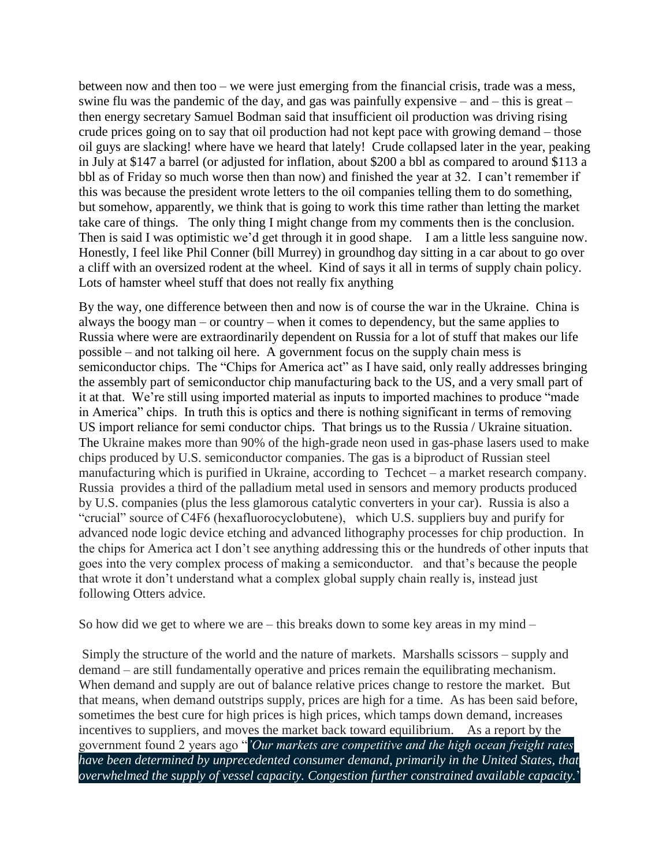between now and then too – we were just emerging from the financial crisis, trade was a mess, swine flu was the pandemic of the day, and gas was painfully expensive – and – this is great – then energy secretary Samuel Bodman said that insufficient oil production was driving rising crude prices going on to say that oil production had not kept pace with growing demand – those oil guys are slacking! where have we heard that lately! Crude collapsed later in the year, peaking in July at \$147 a barrel (or adjusted for inflation, about \$200 a bbl as compared to around \$113 a bbl as of Friday so much worse then than now) and finished the year at 32. I can't remember if this was because the president wrote letters to the oil companies telling them to do something, but somehow, apparently, we think that is going to work this time rather than letting the market take care of things. The only thing I might change from my comments then is the conclusion. Then is said I was optimistic we'd get through it in good shape. I am a little less sanguine now. Honestly, I feel like Phil Conner (bill Murrey) in groundhog day sitting in a car about to go over a cliff with an oversized rodent at the wheel. Kind of says it all in terms of supply chain policy. Lots of hamster wheel stuff that does not really fix anything

By the way, one difference between then and now is of course the war in the Ukraine. China is always the boogy man – or country – when it comes to dependency, but the same applies to Russia where were are extraordinarily dependent on Russia for a lot of stuff that makes our life possible – and not talking oil here. A government focus on the supply chain mess is semiconductor chips. The "Chips for America act" as I have said, only really addresses bringing the assembly part of semiconductor chip manufacturing back to the US, and a very small part of it at that. We're still using imported material as inputs to imported machines to produce "made in America" chips. In truth this is optics and there is nothing significant in terms of removing US import reliance for semi conductor chips. That brings us to the Russia / Ukraine situation. The Ukraine makes more than 90% of the high-grade neon used in gas-phase lasers used to make chips produced by U.S. semiconductor companies. The gas is a biproduct of Russian steel manufacturing which is purified in Ukraine, according to Techcet – a market research company. Russia provides a third of the palladium metal used in sensors and memory products produced by U.S. companies (plus the less glamorous catalytic converters in your car). Russia is also a "crucial" source of C4F6 (hexafluorocyclobutene), which U.S. suppliers buy and purify for advanced node logic device etching and advanced lithography processes for chip production. In the chips for America act I don't see anything addressing this or the hundreds of other inputs that goes into the very complex process of making a semiconductor. and that's because the people that wrote it don't understand what a complex global supply chain really is, instead just following Otters advice.

So how did we get to where we are  $-$  this breaks down to some key areas in my mind  $-$ 

Simply the structure of the world and the nature of markets. Marshalls scissors – supply and demand – are still fundamentally operative and prices remain the equilibrating mechanism. When demand and supply are out of balance relative prices change to restore the market. But that means, when demand outstrips supply, prices are high for a time. As has been said before, sometimes the best cure for high prices is high prices, which tamps down demand, increases incentives to suppliers, and moves the market back toward equilibrium. As a report by the government found 2 years ago "*'Our markets are competitive and the high ocean freight rates have been determined by unprecedented consumer demand, primarily in the United States, that overwhelmed the supply of vessel capacity. Congestion further constrained available capacity.*'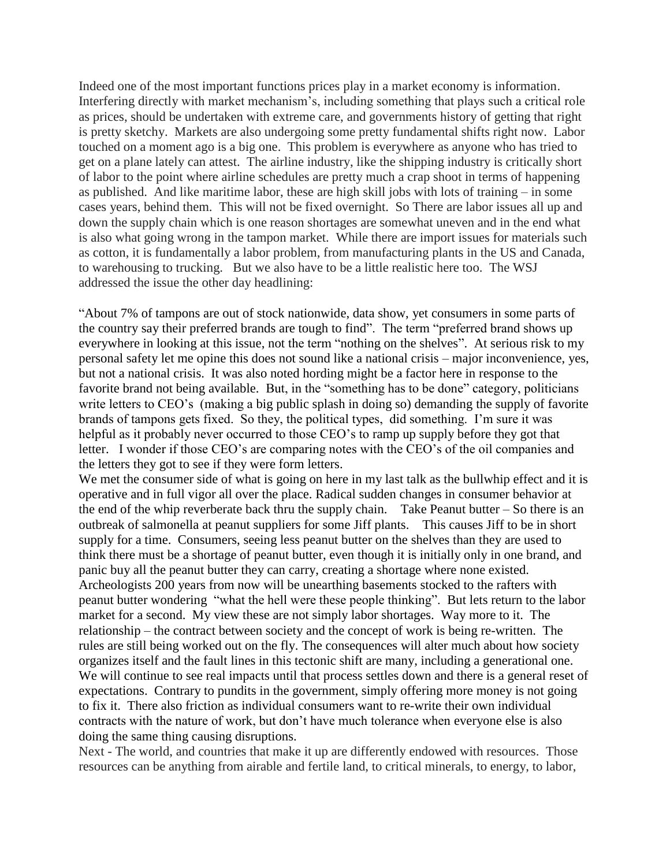Indeed one of the most important functions prices play in a market economy is information. Interfering directly with market mechanism's, including something that plays such a critical role as prices, should be undertaken with extreme care, and governments history of getting that right is pretty sketchy. Markets are also undergoing some pretty fundamental shifts right now. Labor touched on a moment ago is a big one. This problem is everywhere as anyone who has tried to get on a plane lately can attest. The airline industry, like the shipping industry is critically short of labor to the point where airline schedules are pretty much a crap shoot in terms of happening as published. And like maritime labor, these are high skill jobs with lots of training – in some cases years, behind them. This will not be fixed overnight. So There are labor issues all up and down the supply chain which is one reason shortages are somewhat uneven and in the end what is also what going wrong in the tampon market. While there are import issues for materials such as cotton, it is fundamentally a labor problem, from manufacturing plants in the US and Canada, to warehousing to trucking. But we also have to be a little realistic here too. The WSJ addressed the issue the other day headlining:

"About 7% of tampons are out of stock nationwide, data show, yet consumers in some parts of the country say their preferred brands are tough to find". The term "preferred brand shows up everywhere in looking at this issue, not the term "nothing on the shelves". At serious risk to my personal safety let me opine this does not sound like a national crisis – major inconvenience, yes, but not a national crisis. It was also noted hording might be a factor here in response to the favorite brand not being available. But, in the "something has to be done" category, politicians write letters to CEO's (making a big public splash in doing so) demanding the supply of favorite brands of tampons gets fixed. So they, the political types, did something. I'm sure it was helpful as it probably never occurred to those CEO's to ramp up supply before they got that letter. I wonder if those CEO's are comparing notes with the CEO's of the oil companies and the letters they got to see if they were form letters.

We met the consumer side of what is going on here in my last talk as the bullwhip effect and it is operative and in full vigor all over the place. Radical sudden changes in consumer behavior at the end of the whip reverberate back thru the supply chain. Take Peanut butter  $-$  So there is an outbreak of salmonella at peanut suppliers for some Jiff plants. This causes Jiff to be in short supply for a time. Consumers, seeing less peanut butter on the shelves than they are used to think there must be a shortage of peanut butter, even though it is initially only in one brand, and panic buy all the peanut butter they can carry, creating a shortage where none existed. Archeologists 200 years from now will be unearthing basements stocked to the rafters with peanut butter wondering "what the hell were these people thinking". But lets return to the labor market for a second. My view these are not simply labor shortages. Way more to it. The relationship – the contract between society and the concept of work is being re-written. The rules are still being worked out on the fly. The consequences will alter much about how society organizes itself and the fault lines in this tectonic shift are many, including a generational one. We will continue to see real impacts until that process settles down and there is a general reset of expectations. Contrary to pundits in the government, simply offering more money is not going to fix it. There also friction as individual consumers want to re-write their own individual contracts with the nature of work, but don't have much tolerance when everyone else is also doing the same thing causing disruptions.

Next - The world, and countries that make it up are differently endowed with resources. Those resources can be anything from airable and fertile land, to critical minerals, to energy, to labor,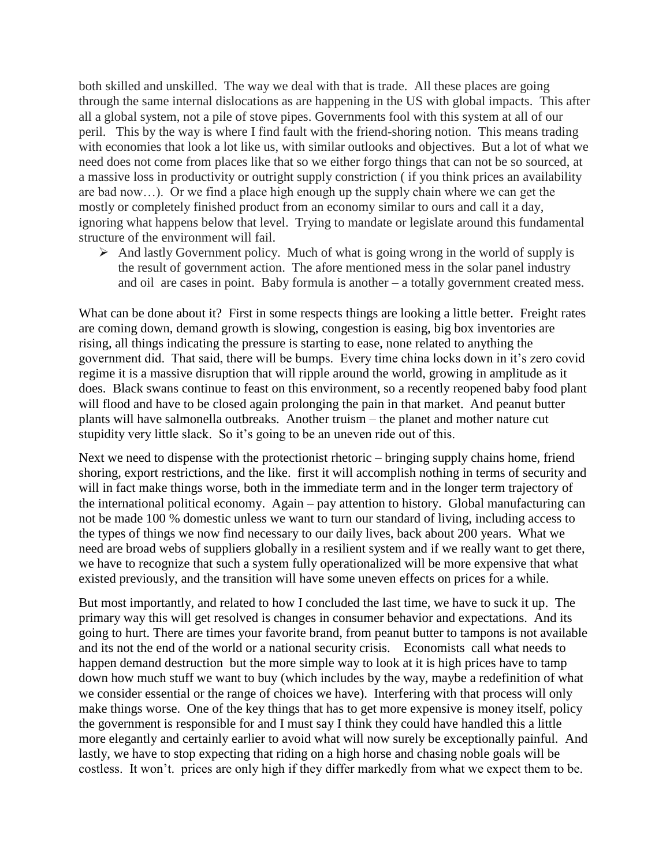both skilled and unskilled. The way we deal with that is trade. All these places are going through the same internal dislocations as are happening in the US with global impacts. This after all a global system, not a pile of stove pipes. Governments fool with this system at all of our peril. This by the way is where I find fault with the friend-shoring notion. This means trading with economies that look a lot like us, with similar outlooks and objectives. But a lot of what we need does not come from places like that so we either forgo things that can not be so sourced, at a massive loss in productivity or outright supply constriction ( if you think prices an availability are bad now…). Or we find a place high enough up the supply chain where we can get the mostly or completely finished product from an economy similar to ours and call it a day, ignoring what happens below that level. Trying to mandate or legislate around this fundamental structure of the environment will fail.

 $\triangleright$  And lastly Government policy. Much of what is going wrong in the world of supply is the result of government action. The afore mentioned mess in the solar panel industry and oil are cases in point. Baby formula is another – a totally government created mess.

What can be done about it? First in some respects things are looking a little better. Freight rates are coming down, demand growth is slowing, congestion is easing, big box inventories are rising, all things indicating the pressure is starting to ease, none related to anything the government did. That said, there will be bumps. Every time china locks down in it's zero covid regime it is a massive disruption that will ripple around the world, growing in amplitude as it does. Black swans continue to feast on this environment, so a recently reopened baby food plant will flood and have to be closed again prolonging the pain in that market. And peanut butter plants will have salmonella outbreaks. Another truism – the planet and mother nature cut stupidity very little slack. So it's going to be an uneven ride out of this.

Next we need to dispense with the protectionist rhetoric – bringing supply chains home, friend shoring, export restrictions, and the like. first it will accomplish nothing in terms of security and will in fact make things worse, both in the immediate term and in the longer term trajectory of the international political economy. Again – pay attention to history. Global manufacturing can not be made 100 % domestic unless we want to turn our standard of living, including access to the types of things we now find necessary to our daily lives, back about 200 years. What we need are broad webs of suppliers globally in a resilient system and if we really want to get there, we have to recognize that such a system fully operationalized will be more expensive that what existed previously, and the transition will have some uneven effects on prices for a while.

But most importantly, and related to how I concluded the last time, we have to suck it up. The primary way this will get resolved is changes in consumer behavior and expectations. And its going to hurt. There are times your favorite brand, from peanut butter to tampons is not available and its not the end of the world or a national security crisis. Economists call what needs to happen demand destruction but the more simple way to look at it is high prices have to tamp down how much stuff we want to buy (which includes by the way, maybe a redefinition of what we consider essential or the range of choices we have). Interfering with that process will only make things worse. One of the key things that has to get more expensive is money itself, policy the government is responsible for and I must say I think they could have handled this a little more elegantly and certainly earlier to avoid what will now surely be exceptionally painful. And lastly, we have to stop expecting that riding on a high horse and chasing noble goals will be costless. It won't. prices are only high if they differ markedly from what we expect them to be.